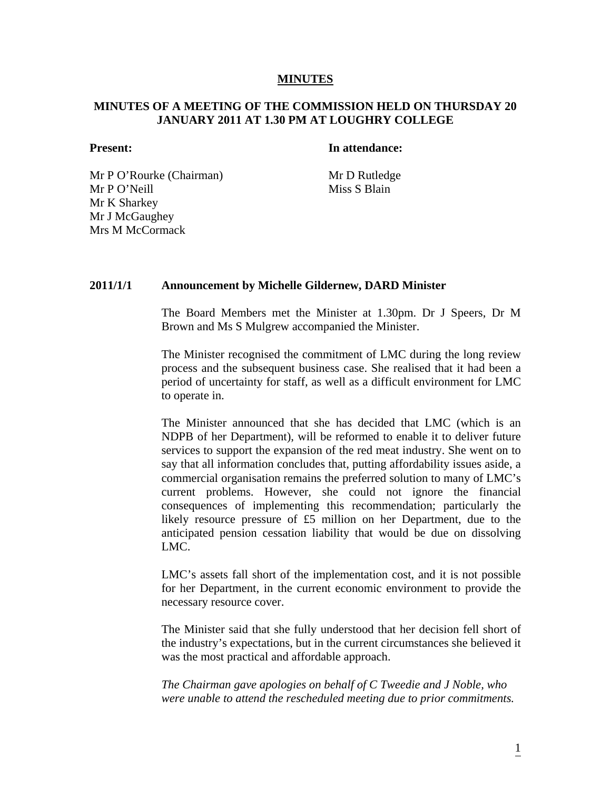### **MINUTES**

# **MINUTES OF A MEETING OF THE COMMISSION HELD ON THURSDAY 20 JANUARY 2011 AT 1.30 PM AT LOUGHRY COLLEGE**

### **Present:** In attendance:

Mr P O'Rourke (Chairman) Mr D Rutledge Mr P O'Neill Miss S Blain Mr K Sharkey Mr J McGaughey Mrs M McCormack

#### **2011/1/1 Announcement by Michelle Gildernew, DARD Minister**

The Board Members met the Minister at 1.30pm. Dr J Speers, Dr M Brown and Ms S Mulgrew accompanied the Minister.

The Minister recognised the commitment of LMC during the long review process and the subsequent business case. She realised that it had been a period of uncertainty for staff, as well as a difficult environment for LMC to operate in.

The Minister announced that she has decided that LMC (which is an NDPB of her Department), will be reformed to enable it to deliver future services to support the expansion of the red meat industry. She went on to say that all information concludes that, putting affordability issues aside, a commercial organisation remains the preferred solution to many of LMC's current problems. However, she could not ignore the financial consequences of implementing this recommendation; particularly the likely resource pressure of £5 million on her Department, due to the anticipated pension cessation liability that would be due on dissolving LMC.

LMC's assets fall short of the implementation cost, and it is not possible for her Department, in the current economic environment to provide the necessary resource cover.

The Minister said that she fully understood that her decision fell short of the industry's expectations, but in the current circumstances she believed it was the most practical and affordable approach.

 *The Chairman gave apologies on behalf of C Tweedie and J Noble, who were unable to attend the rescheduled meeting due to prior commitments.*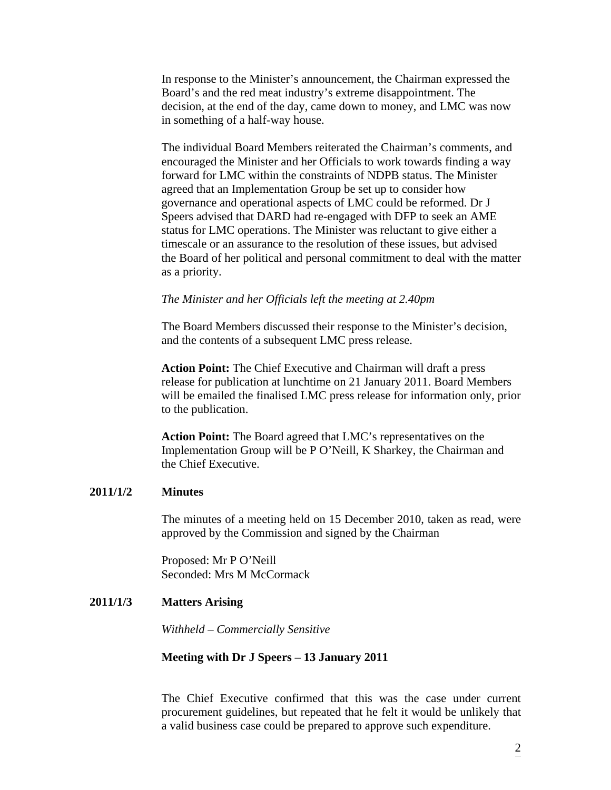In response to the Minister's announcement, the Chairman expressed the Board's and the red meat industry's extreme disappointment. The decision, at the end of the day, came down to money, and LMC was now in something of a half-way house.

 The individual Board Members reiterated the Chairman's comments, and encouraged the Minister and her Officials to work towards finding a way forward for LMC within the constraints of NDPB status. The Minister agreed that an Implementation Group be set up to consider how governance and operational aspects of LMC could be reformed. Dr J Speers advised that DARD had re-engaged with DFP to seek an AME status for LMC operations. The Minister was reluctant to give either a timescale or an assurance to the resolution of these issues, but advised the Board of her political and personal commitment to deal with the matter as a priority.

#### *The Minister and her Officials left the meeting at 2.40pm*

 The Board Members discussed their response to the Minister's decision, and the contents of a subsequent LMC press release.

 **Action Point:** The Chief Executive and Chairman will draft a press release for publication at lunchtime on 21 January 2011. Board Members will be emailed the finalised LMC press release for information only, prior to the publication.

 **Action Point:** The Board agreed that LMC's representatives on the Implementation Group will be P O'Neill, K Sharkey, the Chairman and the Chief Executive.

#### **2011/1/2 Minutes**

The minutes of a meeting held on 15 December 2010, taken as read, were approved by the Commission and signed by the Chairman

Proposed: Mr P O'Neill Seconded: Mrs M McCormack

#### **2011/1/3 Matters Arising**

 *Withheld – Commercially Sensitive* 

#### **Meeting with Dr J Speers – 13 January 2011**

The Chief Executive confirmed that this was the case under current procurement guidelines, but repeated that he felt it would be unlikely that a valid business case could be prepared to approve such expenditure.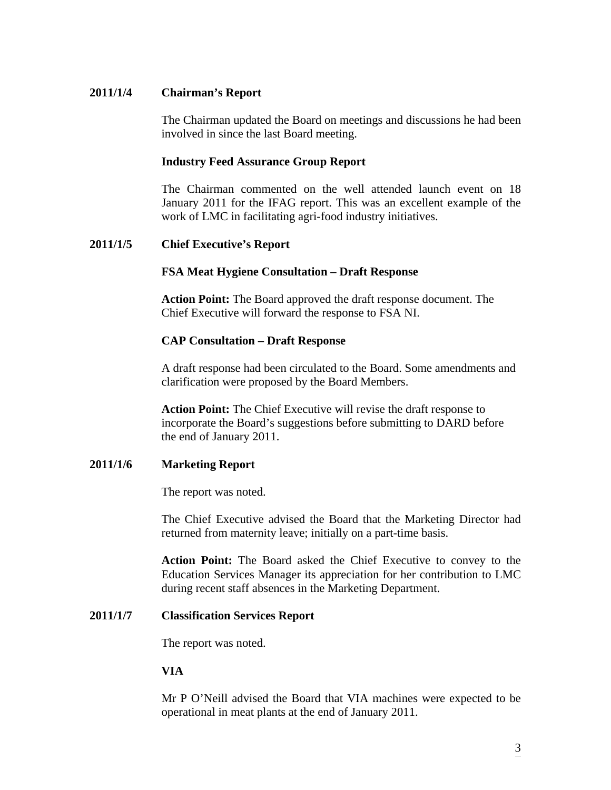# **2011/1/4 Chairman's Report**

The Chairman updated the Board on meetings and discussions he had been involved in since the last Board meeting.

## **Industry Feed Assurance Group Report**

The Chairman commented on the well attended launch event on 18 January 2011 for the IFAG report. This was an excellent example of the work of LMC in facilitating agri-food industry initiatives.

## **2011/1/5 Chief Executive's Report**

## **FSA Meat Hygiene Consultation – Draft Response**

**Action Point:** The Board approved the draft response document. The Chief Executive will forward the response to FSA NI.

## **CAP Consultation – Draft Response**

A draft response had been circulated to the Board. Some amendments and clarification were proposed by the Board Members.

 **Action Point:** The Chief Executive will revise the draft response to incorporate the Board's suggestions before submitting to DARD before the end of January 2011.

## **2011/1/6 Marketing Report**

The report was noted.

The Chief Executive advised the Board that the Marketing Director had returned from maternity leave; initially on a part-time basis.

**Action Point:** The Board asked the Chief Executive to convey to the Education Services Manager its appreciation for her contribution to LMC during recent staff absences in the Marketing Department.

## **2011/1/7 Classification Services Report**

The report was noted.

## **VIA**

Mr P O'Neill advised the Board that VIA machines were expected to be operational in meat plants at the end of January 2011.